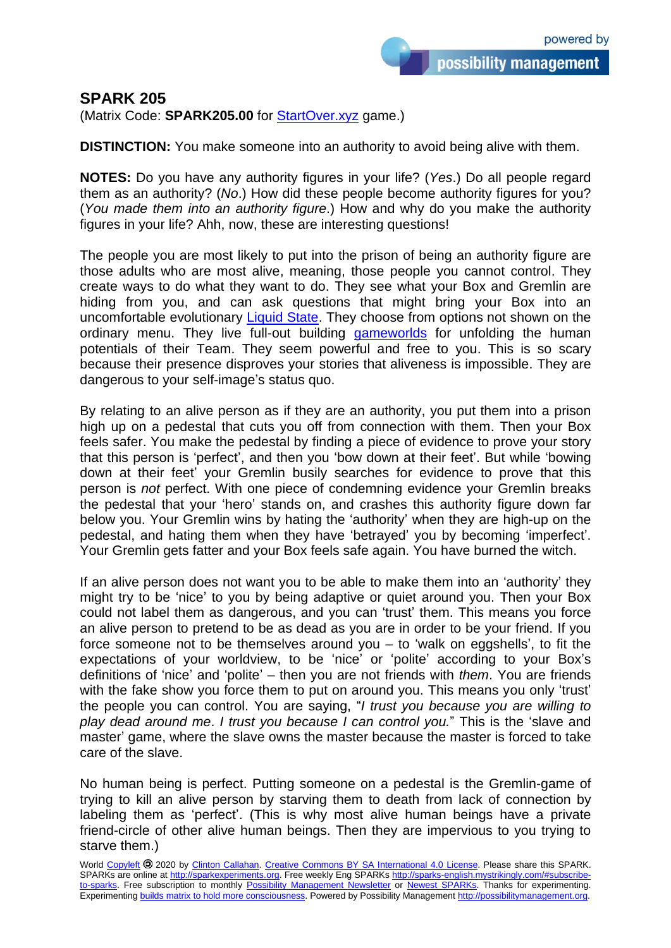## **SPARK 205**

(Matrix Code: **SPARK205.00** for [StartOver.xyz](http://startoverxyz.mystrikingly.com/) game.)

**DISTINCTION:** You make someone into an authority to avoid being alive with them.

**NOTES:** Do you have any authority figures in your life? (*Yes*.) Do all people regard them as an authority? (*No*.) How did these people become authority figures for you? (*You made them into an authority figure*.) How and why do you make the authority figures in your life? Ahh, now, these are interesting questions!

The people you are most likely to put into the prison of being an authority figure are those adults who are most alive, meaning, those people you cannot control. They create ways to do what they want to do. They see what your Box and Gremlin are hiding from you, and can ask questions that might bring your Box into an uncomfortable evolutionary [Liquid State.](http://liquidstate.mystrikingly.com/) They choose from options not shown on the ordinary menu. They live full-out building [gameworlds](http://gameworlds.mystrikingly.com/) for unfolding the human potentials of their Team. They seem powerful and free to you. This is so scary because their presence disproves your stories that aliveness is impossible. They are dangerous to your self-image's status quo.

By relating to an alive person as if they are an authority, you put them into a prison high up on a pedestal that cuts you off from connection with them. Then your Box feels safer. You make the pedestal by finding a piece of evidence to prove your story that this person is 'perfect', and then you 'bow down at their feet'. But while 'bowing down at their feet' your Gremlin busily searches for evidence to prove that this person is *not* perfect. With one piece of condemning evidence your Gremlin breaks the pedestal that your 'hero' stands on, and crashes this authority figure down far below you. Your Gremlin wins by hating the 'authority' when they are high-up on the pedestal, and hating them when they have 'betrayed' you by becoming 'imperfect'. Your Gremlin gets fatter and your Box feels safe again. You have burned the witch.

If an alive person does not want you to be able to make them into an 'authority' they might try to be 'nice' to you by being adaptive or quiet around you. Then your Box could not label them as dangerous, and you can 'trust' them. This means you force an alive person to pretend to be as dead as you are in order to be your friend. If you force someone not to be themselves around you – to 'walk on eggshells', to fit the expectations of your worldview, to be 'nice' or 'polite' according to your Box's definitions of 'nice' and 'polite' – then you are not friends with *them*. You are friends with the fake show you force them to put on around you. This means you only 'trust' the people you can control. You are saying, "*I trust you because you are willing to play dead around me*. *I trust you because I can control you.*" This is the 'slave and master' game, where the slave owns the master because the master is forced to take care of the slave.

No human being is perfect. Putting someone on a pedestal is the Gremlin-game of trying to kill an alive person by starving them to death from lack of connection by labeling them as 'perfect'. (This is why most alive human beings have a private friend-circle of other alive human beings. Then they are impervious to you trying to starve them.)

World [Copyleft](https://en.wikipedia.org/wiki/Copyleft) <sup>2</sup>0 2020 by [Clinton Callahan.](http://clintoncallahan.mystrikingly.com/) Creative Commons [BY SA International 4.0](https://creativecommons.org/licenses/by-sa/4.0/) License. Please share this SPARK. SPARKs are online at [http://sparkexperiments.org.](http://sparks-english.mystrikingly.com/) Free weekly Eng SPARKs [http://sparks-english.mystrikingly.com/#subscribe](http://sparks-english.mystrikingly.com/#subscribe-to-sparks)[to-sparks.](http://sparks-english.mystrikingly.com/#subscribe-to-sparks) Free subscription to monthly [Possibility Management Newsletter](https://possibilitymanagement.org/news/) or [Newest SPARKs.](https://www.clintoncallahan.org/newsletter-1) Thanks for experimenting. Experimenting builds matrix to hold [more consciousness.](http://spaceport.mystrikingly.com/) Powered by Possibility Management [http://possibilitymanagement.org.](http://possibilitymanagement.org/)